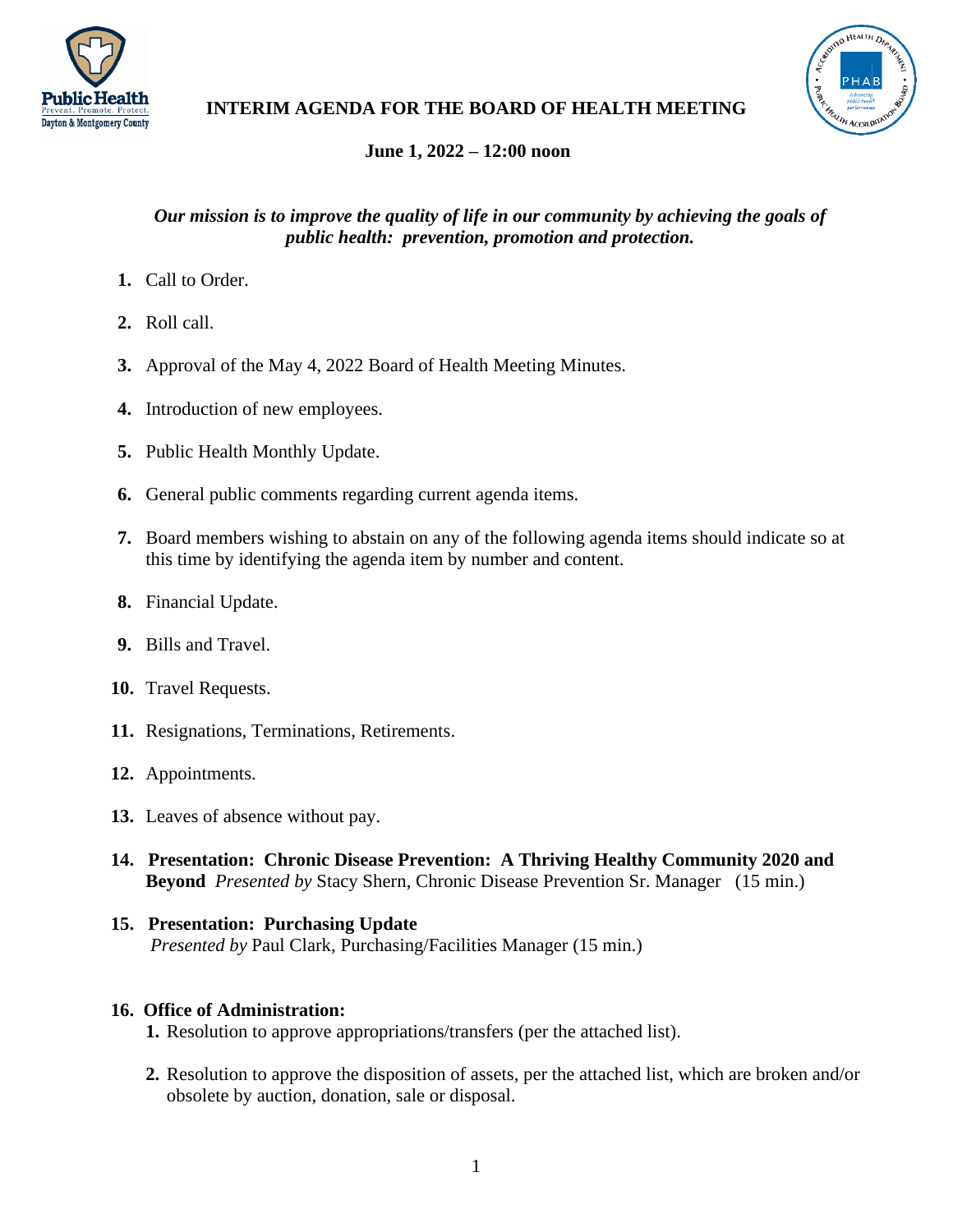



# **INTERIM AGENDA FOR THE BOARD OF HEALTH MEETING**

# **June 1, 2022 – 12:00 noon**

## *Our mission is to improve the quality of life in our community by achieving the goals of public health: prevention, promotion and protection.*

- **1.** Call to Order.
- **2.** Roll call.
- **3.** Approval of the May 4, 2022 Board of Health Meeting Minutes.
- **4.** Introduction of new employees.
- **5.** Public Health Monthly Update.
- **6.** General public comments regarding current agenda items.
- **7.** Board members wishing to abstain on any of the following agenda items should indicate so at this time by identifying the agenda item by number and content.
- **8.** Financial Update.
- **9.** Bills and Travel.
- **10.** Travel Requests.
- **11.** Resignations, Terminations, Retirements.
- **12.** Appointments.
- **13.** Leaves of absence without pay.
- **14. Presentation: Chronic Disease Prevention: A Thriving Healthy Community 2020 and Beyond** *Presented by* Stacy Shern, Chronic Disease Prevention Sr. Manager (15 min.)

# **15. Presentation: Purchasing Update** *Presented by* Paul Clark, Purchasing/Facilities Manager (15 min.)

### **16. Office of Administration:**

- **1.** Resolution to approve appropriations/transfers (per the attached list).
- **2.** Resolution to approve the disposition of assets, per the attached list, which are broken and/or obsolete by auction, donation, sale or disposal.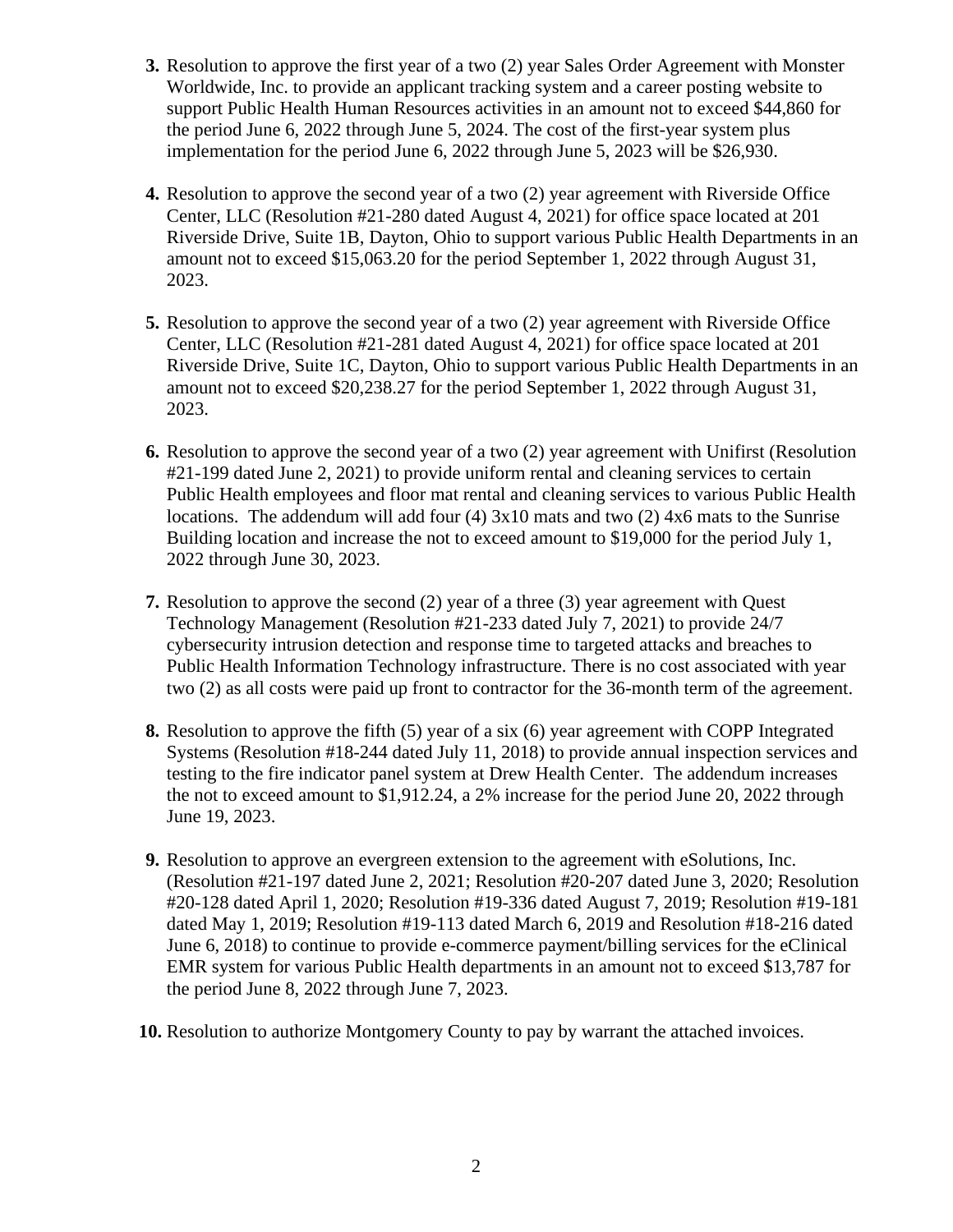- **3.** Resolution to approve the first year of a two (2) year Sales Order Agreement with Monster Worldwide, Inc. to provide an applicant tracking system and a career posting website to support Public Health Human Resources activities in an amount not to exceed \$44,860 for the period June 6, 2022 through June 5, 2024. The cost of the first-year system plus implementation for the period June 6, 2022 through June 5, 2023 will be \$26,930.
- **4.** Resolution to approve the second year of a two (2) year agreement with Riverside Office Center, LLC (Resolution #21-280 dated August 4, 2021) for office space located at 201 Riverside Drive, Suite 1B, Dayton, Ohio to support various Public Health Departments in an amount not to exceed \$15,063.20 for the period September 1, 2022 through August 31, 2023.
- **5.** Resolution to approve the second year of a two (2) year agreement with Riverside Office Center, LLC (Resolution #21-281 dated August 4, 2021) for office space located at 201 Riverside Drive, Suite 1C, Dayton, Ohio to support various Public Health Departments in an amount not to exceed \$20,238.27 for the period September 1, 2022 through August 31, 2023.
- **6.** Resolution to approve the second year of a two (2) year agreement with Unifirst (Resolution #21-199 dated June 2, 2021) to provide uniform rental and cleaning services to certain Public Health employees and floor mat rental and cleaning services to various Public Health locations. The addendum will add four (4) 3x10 mats and two (2) 4x6 mats to the Sunrise Building location and increase the not to exceed amount to \$19,000 for the period July 1, 2022 through June 30, 2023.
- **7.** Resolution to approve the second (2) year of a three (3) year agreement with Quest Technology Management (Resolution #21-233 dated July 7, 2021) to provide 24/7 cybersecurity intrusion detection and response time to targeted attacks and breaches to Public Health Information Technology infrastructure. There is no cost associated with year two (2) as all costs were paid up front to contractor for the 36-month term of the agreement.
- **8.** Resolution to approve the fifth (5) year of a six (6) year agreement with COPP Integrated Systems (Resolution #18-244 dated July 11, 2018) to provide annual inspection services and testing to the fire indicator panel system at Drew Health Center. The addendum increases the not to exceed amount to \$1,912.24, a 2% increase for the period June 20, 2022 through June 19, 2023.
- **9.** Resolution to approve an evergreen extension to the agreement with eSolutions, Inc. (Resolution #21-197 dated June 2, 2021; Resolution #20-207 dated June 3, 2020; Resolution #20-128 dated April 1, 2020; Resolution #19-336 dated August 7, 2019; Resolution #19-181 dated May 1, 2019; Resolution #19-113 dated March 6, 2019 and Resolution #18-216 dated June 6, 2018) to continue to provide e-commerce payment/billing services for the eClinical EMR system for various Public Health departments in an amount not to exceed \$13,787 for the period June 8, 2022 through June 7, 2023.
- **10.** Resolution to authorize Montgomery County to pay by warrant the attached invoices.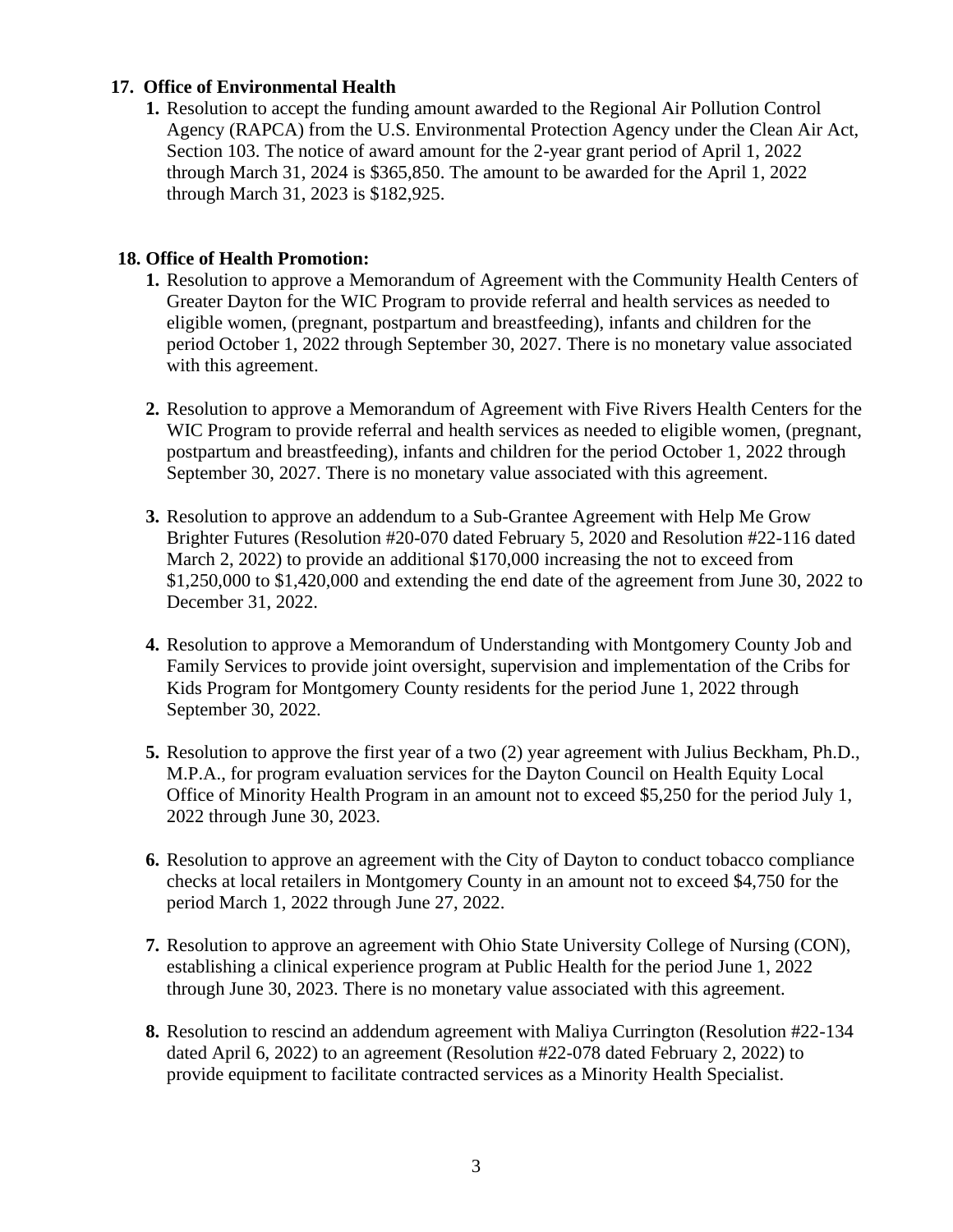#### **17. Office of Environmental Health**

**1.** Resolution to accept the funding amount awarded to the Regional Air Pollution Control Agency (RAPCA) from the U.S. Environmental Protection Agency under the Clean Air Act, Section 103. The notice of award amount for the 2-year grant period of April 1, 2022 through March 31, 2024 is \$365,850. The amount to be awarded for the April 1, 2022 through March 31, 2023 is \$182,925.

#### **18. Office of Health Promotion:**

- **1.** Resolution to approve a Memorandum of Agreement with the Community Health Centers of Greater Dayton for the WIC Program to provide referral and health services as needed to eligible women, (pregnant, postpartum and breastfeeding), infants and children for the period October 1, 2022 through September 30, 2027. There is no monetary value associated with this agreement.
- **2.** Resolution to approve a Memorandum of Agreement with Five Rivers Health Centers for the WIC Program to provide referral and health services as needed to eligible women, (pregnant, postpartum and breastfeeding), infants and children for the period October 1, 2022 through September 30, 2027. There is no monetary value associated with this agreement.
- **3.** Resolution to approve an addendum to a Sub-Grantee Agreement with Help Me Grow Brighter Futures (Resolution #20-070 dated February 5, 2020 and Resolution #22-116 dated March 2, 2022) to provide an additional \$170,000 increasing the not to exceed from \$1,250,000 to \$1,420,000 and extending the end date of the agreement from June 30, 2022 to December 31, 2022.
- **4.** Resolution to approve a Memorandum of Understanding with Montgomery County Job and Family Services to provide joint oversight, supervision and implementation of the Cribs for Kids Program for Montgomery County residents for the period June 1, 2022 through September 30, 2022.
- **5.** Resolution to approve the first year of a two (2) year agreement with Julius Beckham, Ph.D., M.P.A., for program evaluation services for the Dayton Council on Health Equity Local Office of Minority Health Program in an amount not to exceed \$5,250 for the period July 1, 2022 through June 30, 2023.
- **6.** Resolution to approve an agreement with the City of Dayton to conduct tobacco compliance checks at local retailers in Montgomery County in an amount not to exceed \$4,750 for the period March 1, 2022 through June 27, 2022.
- **7.** Resolution to approve an agreement with Ohio State University College of Nursing (CON), establishing a clinical experience program at Public Health for the period June 1, 2022 through June 30, 2023. There is no monetary value associated with this agreement.
- **8.** Resolution to rescind an addendum agreement with Maliya Currington (Resolution #22-134 dated April 6, 2022) to an agreement (Resolution #22-078 dated February 2, 2022) to provide equipment to facilitate contracted services as a Minority Health Specialist.